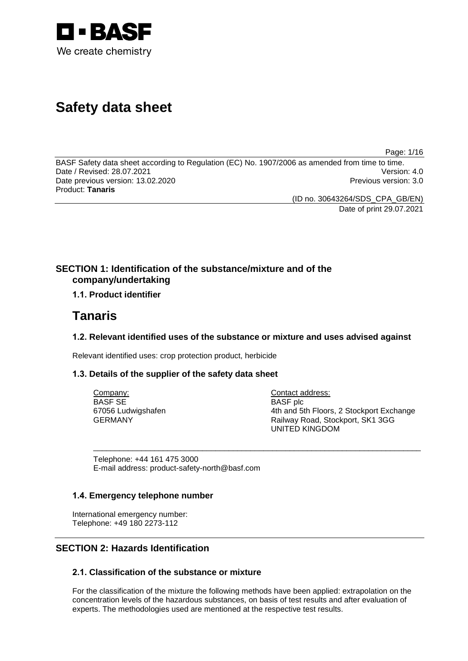

# **Safety data sheet**

Page: 1/16

BASF Safety data sheet according to Regulation (EC) No. 1907/2006 as amended from time to time.<br>Date / Revised: 28.07.2021 Date / Revised: 28.07.2021 Date previous version: 13.02.2020 **Previous version: 3.0** Previous version: 3.0 Product: **Tanaris**

(ID no. 30643264/SDS\_CPA\_GB/EN)

Date of print 29.07.2021

## **SECTION 1: Identification of the substance/mixture and of the company/undertaking**

## **1.1. Product identifier**

## **Tanaris**

## **1.2. Relevant identified uses of the substance or mixture and uses advised against**

\_\_\_\_\_\_\_\_\_\_\_\_\_\_\_\_\_\_\_\_\_\_\_\_\_\_\_\_\_\_\_\_\_\_\_\_\_\_\_\_\_\_\_\_\_\_\_\_\_\_\_\_\_\_\_\_\_\_\_\_\_\_\_\_\_\_\_\_\_\_\_\_\_\_\_

Relevant identified uses: crop protection product, herbicide

## **1.3. Details of the supplier of the safety data sheet**

Company: BASF SE 67056 Ludwigshafen GERMANY

Contact address: BASF plc 4th and 5th Floors, 2 Stockport Exchange Railway Road, Stockport, SK1 3GG UNITED KINGDOM

Telephone: +44 161 475 3000 E-mail address: product-safety-north@basf.com

## **1.4. Emergency telephone number**

International emergency number: Telephone: +49 180 2273-112

## **SECTION 2: Hazards Identification**

## **2.1. Classification of the substance or mixture**

For the classification of the mixture the following methods have been applied: extrapolation on the concentration levels of the hazardous substances, on basis of test results and after evaluation of experts. The methodologies used are mentioned at the respective test results.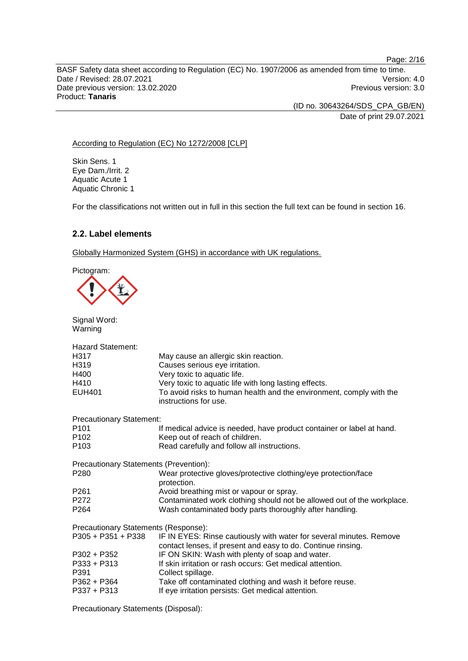BASF Safety data sheet according to Regulation (EC) No. 1907/2006 as amended from time to time. Date / Revised: 28.07.2021 Version: 4.0<br>Date previous version: 13.02.2020 Version: 3.0 Date previous version: 13.02.2020 Product: **Tanaris**

> (ID no. 30643264/SDS\_CPA\_GB/EN) Date of print 29.07.2021

Page: 2/16

#### According to Regulation (EC) No 1272/2008 [CLP]

Skin Sens. 1 Eye Dam./Irrit. 2 Aquatic Acute 1 Aquatic Chronic 1

For the classifications not written out in full in this section the full text can be found in section 16.

## **2.2. Label elements**

Globally Harmonized System (GHS) in accordance with UK regulations.

Pictogram:

Signal Word:



| Warning                                |                                                                                                                                     |
|----------------------------------------|-------------------------------------------------------------------------------------------------------------------------------------|
| <b>Hazard Statement:</b>               |                                                                                                                                     |
| H <sub>3</sub> 17                      | May cause an allergic skin reaction.                                                                                                |
| H <sub>319</sub>                       | Causes serious eye irritation.                                                                                                      |
| H400                                   | Very toxic to aquatic life.                                                                                                         |
| H410                                   | Very toxic to aquatic life with long lasting effects.                                                                               |
| <b>EUH401</b>                          | To avoid risks to human health and the environment, comply with the<br>instructions for use.                                        |
| <b>Precautionary Statement:</b>        |                                                                                                                                     |
| P <sub>101</sub>                       | If medical advice is needed, have product container or label at hand.                                                               |
| P <sub>102</sub>                       | Keep out of reach of children.                                                                                                      |
| P <sub>103</sub>                       | Read carefully and follow all instructions.                                                                                         |
| Precautionary Statements (Prevention): |                                                                                                                                     |
| P280                                   | Wear protective gloves/protective clothing/eye protection/face<br>protection.                                                       |
| P <sub>261</sub>                       | Avoid breathing mist or vapour or spray.                                                                                            |
| P <sub>272</sub>                       | Contaminated work clothing should not be allowed out of the workplace.                                                              |
| P <sub>264</sub>                       | Wash contaminated body parts thoroughly after handling.                                                                             |
| Precautionary Statements (Response):   |                                                                                                                                     |
| $P305 + P351 + P338$                   | IF IN EYES: Rinse cautiously with water for several minutes. Remove<br>contact lenses, if present and easy to do. Continue rinsing. |
| P302 + P352                            | IF ON SKIN: Wash with plenty of soap and water.                                                                                     |
| $P333 + P313$<br>P391                  | If skin irritation or rash occurs: Get medical attention.<br>Collect spillage.                                                      |
| P362 + P364                            | Take off contaminated clothing and wash it before reuse.                                                                            |
| $P337 + P313$                          | If eye irritation persists: Get medical attention.                                                                                  |

Precautionary Statements (Disposal):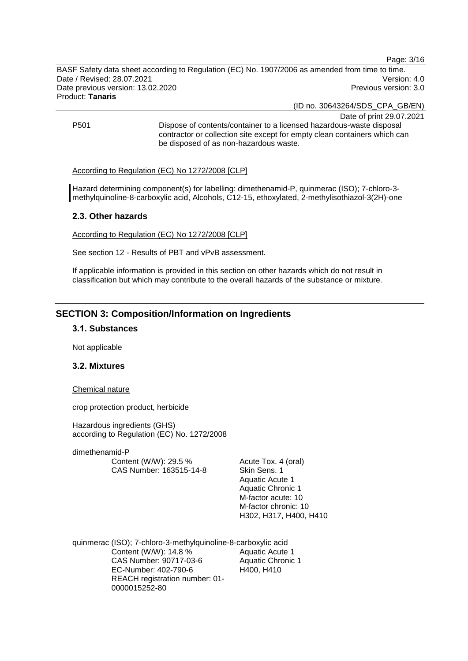Page: 3/16

BASF Safety data sheet according to Regulation (EC) No. 1907/2006 as amended from time to time. Date / Revised: 28.07.2021 Version: 4.0 Date previous version: 13.02.2020 **Previous version: 3.0** Previous version: 3.0 Product: **Tanaris**

(ID no. 30643264/SDS\_CPA\_GB/EN)

Date of print 29.07.2021 P501 Dispose of contents/container to a licensed hazardous-waste disposal contractor or collection site except for empty clean containers which can be disposed of as non-hazardous waste.

#### According to Regulation (EC) No 1272/2008 [CLP]

Hazard determining component(s) for labelling: dimethenamid-P, quinmerac (ISO); 7-chloro-3 methylquinoline-8-carboxylic acid, Alcohols, C12-15, ethoxylated, 2-methylisothiazol-3(2H)-one

#### **2.3. Other hazards**

According to Regulation (EC) No 1272/2008 [CLP]

See section 12 - Results of PBT and vPvB assessment.

If applicable information is provided in this section on other hazards which do not result in classification but which may contribute to the overall hazards of the substance or mixture.

## **SECTION 3: Composition/Information on Ingredients**

#### **3.1. Substances**

Not applicable

#### **3.2. Mixtures**

Chemical nature

crop protection product, herbicide

Hazardous ingredients (GHS) according to Regulation (EC) No. 1272/2008

dimethenamid-P Content (W/W): 29.5 % CAS Number: 163515-14-8

Acute Tox. 4 (oral) Skin Sens. 1 Aquatic Acute 1 Aquatic Chronic 1 M-factor acute: 10 M-factor chronic: 10 H302, H317, H400, H410

quinmerac (ISO); 7-chloro-3-methylquinoline-8-carboxylic acid Content (W/W): 14.8 % CAS Number: 90717-03-6 EC-Number: 402-790-6 REACH registration number: 01- 0000015252-80 Aquatic Acute 1 Aquatic Chronic 1 H400, H410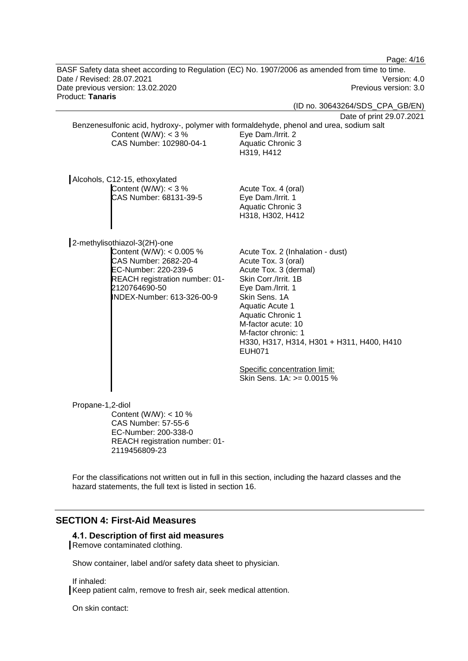|                                                                                                 | Page: 4/16                                                                                            |
|-------------------------------------------------------------------------------------------------|-------------------------------------------------------------------------------------------------------|
| BASF Safety data sheet according to Regulation (EC) No. 1907/2006 as amended from time to time. |                                                                                                       |
| Date / Revised: 28.07.2021                                                                      | Version: 4.0                                                                                          |
| Date previous version: 13.02.2020                                                               | Previous version: 3.0                                                                                 |
| Product: Tanaris                                                                                |                                                                                                       |
|                                                                                                 | (ID no. 30643264/SDS_CPA_GB/EN)                                                                       |
|                                                                                                 | Date of print 29.07.2021                                                                              |
| Benzenesulfonic acid, hydroxy-, polymer with formaldehyde, phenol and urea, sodium salt         |                                                                                                       |
| Content (W/W): $<$ 3 %<br>CAS Number: 102980-04-1                                               | Eye Dam./Irrit. 2                                                                                     |
|                                                                                                 | Aquatic Chronic 3<br>H319, H412                                                                       |
|                                                                                                 |                                                                                                       |
|                                                                                                 |                                                                                                       |
| Alcohols, C12-15, ethoxylated                                                                   |                                                                                                       |
| Content (W/W): $<$ 3 %                                                                          | Acute Tox. 4 (oral)                                                                                   |
| CAS Number: 68131-39-5                                                                          | Eye Dam./Irrit. 1                                                                                     |
|                                                                                                 | <b>Aquatic Chronic 3</b>                                                                              |
|                                                                                                 | H318, H302, H412                                                                                      |
|                                                                                                 |                                                                                                       |
| 2-methylisothiazol-3(2H)-one                                                                    |                                                                                                       |
| Content (W/W): < $0.005$ %                                                                      | Acute Tox. 2 (Inhalation - dust)                                                                      |
| CAS Number: 2682-20-4                                                                           | Acute Tox. 3 (oral)                                                                                   |
| EC-Number: 220-239-6                                                                            | Acute Tox. 3 (dermal)                                                                                 |
| REACH registration number: 01-                                                                  | Skin Corr./Irrit. 1B                                                                                  |
| 2120764690-50                                                                                   | Eye Dam./Irrit. 1                                                                                     |
| INDEX-Number: 613-326-00-9                                                                      | Skin Sens. 1A                                                                                         |
|                                                                                                 | <b>Aquatic Acute 1</b><br><b>Aquatic Chronic 1</b>                                                    |
|                                                                                                 | M-factor acute: 10                                                                                    |
|                                                                                                 | M-factor chronic: 1                                                                                   |
|                                                                                                 | H330, H317, H314, H301 + H311, H400, H410                                                             |
|                                                                                                 | <b>EUH071</b>                                                                                         |
|                                                                                                 |                                                                                                       |
|                                                                                                 | Specific concentration limit:<br>Skin Sens. 1A: >= 0.0015 %                                           |
|                                                                                                 |                                                                                                       |
|                                                                                                 |                                                                                                       |
| Propane-1,2-diol                                                                                |                                                                                                       |
| Content (W/W): $<$ 10 %                                                                         |                                                                                                       |
| <b>CAS Number: 57-55-6</b>                                                                      |                                                                                                       |
| EC-Number: 200-338-0                                                                            |                                                                                                       |
| REACH registration number: 01-<br>2119456809-23                                                 |                                                                                                       |
|                                                                                                 |                                                                                                       |
|                                                                                                 |                                                                                                       |
|                                                                                                 | For the classifications not written out in full in this section, including the hazard classes and the |

# hazard statements, the full text is listed in section 16.

## **SECTION 4: First-Aid Measures**

#### **4.1. Description of first aid measures**

Remove contaminated clothing.

Show container, label and/or safety data sheet to physician.

If inhaled:

Keep patient calm, remove to fresh air, seek medical attention.

On skin contact: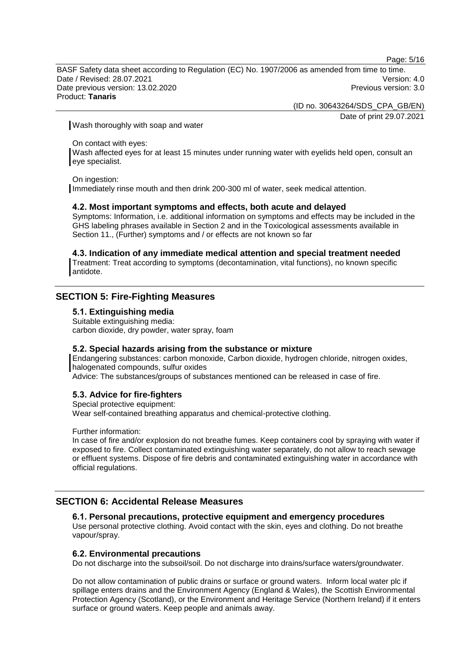Page: 5/16

BASF Safety data sheet according to Regulation (EC) No. 1907/2006 as amended from time to time. Date / Revised: 28.07.2021 Version: 4.0 Date previous version: 13.02.2020 **Previous version: 3.0** Previous version: 3.0 Product: **Tanaris**

(ID no. 30643264/SDS\_CPA\_GB/EN)

Date of print 29.07.2021

Wash thoroughly with soap and water

On contact with eyes:

Wash affected eyes for at least 15 minutes under running water with eyelids held open, consult an eye specialist.

On ingestion:

Immediately rinse mouth and then drink 200-300 ml of water, seek medical attention.

#### **4.2. Most important symptoms and effects, both acute and delayed**

Symptoms: Information, i.e. additional information on symptoms and effects may be included in the GHS labeling phrases available in Section 2 and in the Toxicological assessments available in Section 11., (Further) symptoms and / or effects are not known so far

#### **4.3. Indication of any immediate medical attention and special treatment needed**

Treatment: Treat according to symptoms (decontamination, vital functions), no known specific antidote.

## **SECTION 5: Fire-Fighting Measures**

#### **5.1. Extinguishing media**

Suitable extinguishing media: carbon dioxide, dry powder, water spray, foam

#### **5.2. Special hazards arising from the substance or mixture**

Endangering substances: carbon monoxide, Carbon dioxide, hydrogen chloride, nitrogen oxides, halogenated compounds, sulfur oxides

Advice: The substances/groups of substances mentioned can be released in case of fire.

#### **5.3. Advice for fire-fighters**

Special protective equipment:

Wear self-contained breathing apparatus and chemical-protective clothing.

Further information:

In case of fire and/or explosion do not breathe fumes. Keep containers cool by spraying with water if exposed to fire. Collect contaminated extinguishing water separately, do not allow to reach sewage or effluent systems. Dispose of fire debris and contaminated extinguishing water in accordance with official regulations.

## **SECTION 6: Accidental Release Measures**

#### **6.1. Personal precautions, protective equipment and emergency procedures**

Use personal protective clothing. Avoid contact with the skin, eyes and clothing. Do not breathe vapour/spray.

#### **6.2. Environmental precautions**

Do not discharge into the subsoil/soil. Do not discharge into drains/surface waters/groundwater.

Do not allow contamination of public drains or surface or ground waters. Inform local water plc if spillage enters drains and the Environment Agency (England & Wales), the Scottish Environmental Protection Agency (Scotland), or the Environment and Heritage Service (Northern Ireland) if it enters surface or ground waters. Keep people and animals away.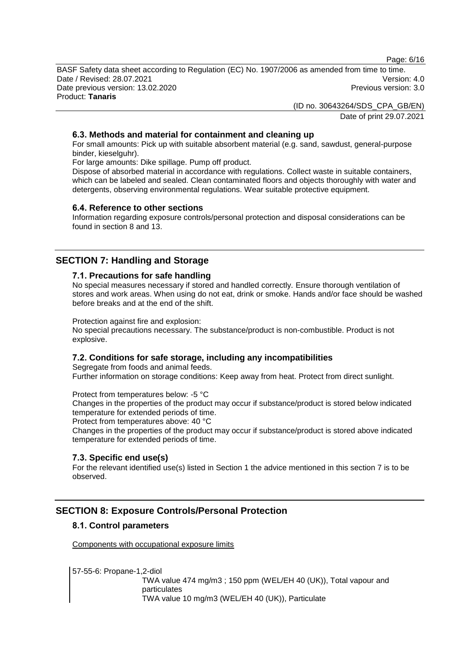Page: 6/16

BASF Safety data sheet according to Regulation (EC) No. 1907/2006 as amended from time to time. Date / Revised: 28.07.2021 Version: 4.0 Date previous version: 13.02.2020 **Previous version: 3.0** Previous version: 3.0 Product: **Tanaris**

> (ID no. 30643264/SDS\_CPA\_GB/EN) Date of print 29.07.2021

#### **6.3. Methods and material for containment and cleaning up**

For small amounts: Pick up with suitable absorbent material (e.g. sand, sawdust, general-purpose binder, kieselguhr).

For large amounts: Dike spillage. Pump off product.

Dispose of absorbed material in accordance with regulations. Collect waste in suitable containers, which can be labeled and sealed. Clean contaminated floors and objects thoroughly with water and detergents, observing environmental regulations. Wear suitable protective equipment.

#### **6.4. Reference to other sections**

Information regarding exposure controls/personal protection and disposal considerations can be found in section 8 and 13.

## **SECTION 7: Handling and Storage**

#### **7.1. Precautions for safe handling**

No special measures necessary if stored and handled correctly. Ensure thorough ventilation of stores and work areas. When using do not eat, drink or smoke. Hands and/or face should be washed before breaks and at the end of the shift.

Protection against fire and explosion:

No special precautions necessary. The substance/product is non-combustible. Product is not explosive.

#### **7.2. Conditions for safe storage, including any incompatibilities**

Segregate from foods and animal feeds. Further information on storage conditions: Keep away from heat. Protect from direct sunlight.

Protect from temperatures below: -5 °C

Changes in the properties of the product may occur if substance/product is stored below indicated temperature for extended periods of time.

Protect from temperatures above: 40 °C

Changes in the properties of the product may occur if substance/product is stored above indicated temperature for extended periods of time.

#### **7.3. Specific end use(s)**

For the relevant identified use(s) listed in Section 1 the advice mentioned in this section 7 is to be observed.

## **SECTION 8: Exposure Controls/Personal Protection**

#### **8.1. Control parameters**

Components with occupational exposure limits

57-55-6: Propane-1,2-diol

TWA value 474 mg/m3 ; 150 ppm (WEL/EH 40 (UK)), Total vapour and particulates TWA value 10 mg/m3 (WEL/EH 40 (UK)), Particulate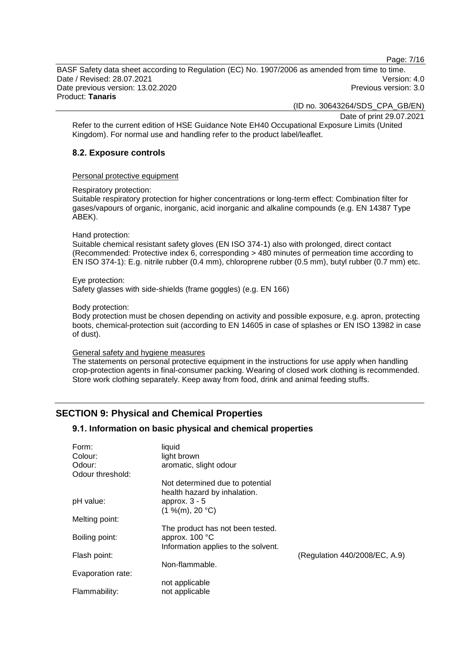Page: 7/16

BASF Safety data sheet according to Regulation (EC) No. 1907/2006 as amended from time to time. Date / Revised: 28.07.2021 Version: 4.0 Date previous version: 13.02.2020 **Previous version: 3.0** Previous version: 3.0 Product: **Tanaris**

(ID no. 30643264/SDS\_CPA\_GB/EN)

Date of print 29.07.2021

Refer to the current edition of HSE Guidance Note EH40 Occupational Exposure Limits (United Kingdom). For normal use and handling refer to the product label/leaflet.

#### **8.2. Exposure controls**

Personal protective equipment

Respiratory protection:

Suitable respiratory protection for higher concentrations or long-term effect: Combination filter for gases/vapours of organic, inorganic, acid inorganic and alkaline compounds (e.g. EN 14387 Type ABEK).

#### Hand protection:

Suitable chemical resistant safety gloves (EN ISO 374-1) also with prolonged, direct contact (Recommended: Protective index 6, corresponding > 480 minutes of permeation time according to EN ISO 374-1): E.g. nitrile rubber (0.4 mm), chloroprene rubber (0.5 mm), butyl rubber (0.7 mm) etc.

#### Eye protection:

Safety glasses with side-shields (frame goggles) (e.g. EN 166)

#### Body protection:

Body protection must be chosen depending on activity and possible exposure, e.g. apron, protecting boots, chemical-protection suit (according to EN 14605 in case of splashes or EN ISO 13982 in case of dust).

#### General safety and hygiene measures

The statements on personal protective equipment in the instructions for use apply when handling crop-protection agents in final-consumer packing. Wearing of closed work clothing is recommended. Store work clothing separately. Keep away from food, drink and animal feeding stuffs.

## **SECTION 9: Physical and Chemical Properties**

#### **9.1. Information on basic physical and chemical properties**

| Form:<br>Colour:<br>Odour:<br>Odour threshold: | liquid<br>light brown<br>aromatic, slight odour                                             |                               |
|------------------------------------------------|---------------------------------------------------------------------------------------------|-------------------------------|
|                                                | Not determined due to potential<br>health hazard by inhalation.                             |                               |
| pH value:                                      | approx. $3 - 5$<br>(1 %(m), 20 °C)                                                          |                               |
| Melting point:                                 |                                                                                             |                               |
| Boiling point:                                 | The product has not been tested.<br>approx. $100 °C$<br>Information applies to the solvent. |                               |
| Flash point:                                   |                                                                                             | (Regulation 440/2008/EC, A.9) |
| Evaporation rate:                              | Non-flammable.                                                                              |                               |
| Flammability:                                  | not applicable<br>not applicable                                                            |                               |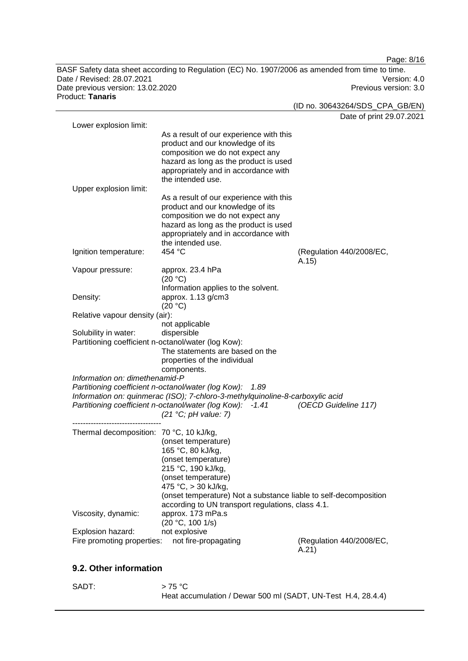Page: 8/16 BASF Safety data sheet according to Regulation (EC) No. 1907/2006 as amended from time to time. Date / Revised: 28.07.2021 Version: 4.0<br>Date previous version: 13.02.2020 Version: 3.0 Date previous version: 13.02.2020 Product: **Tanaris**

|                                         |                                                                               | (ID no. 30643264/SDS_CPA_GB/EN)   |
|-----------------------------------------|-------------------------------------------------------------------------------|-----------------------------------|
|                                         |                                                                               | Date of print 29.07.2021          |
| Lower explosion limit:                  |                                                                               |                                   |
|                                         | As a result of our experience with this                                       |                                   |
|                                         | product and our knowledge of its                                              |                                   |
|                                         | composition we do not expect any                                              |                                   |
|                                         | hazard as long as the product is used                                         |                                   |
|                                         | appropriately and in accordance with<br>the intended use.                     |                                   |
|                                         |                                                                               |                                   |
| Upper explosion limit:                  |                                                                               |                                   |
|                                         | As a result of our experience with this                                       |                                   |
|                                         | product and our knowledge of its<br>composition we do not expect any          |                                   |
|                                         | hazard as long as the product is used                                         |                                   |
|                                         | appropriately and in accordance with                                          |                                   |
|                                         | the intended use.                                                             |                                   |
| Ignition temperature:                   | 454 °C                                                                        |                                   |
|                                         |                                                                               | (Regulation 440/2008/EC,<br>A.15) |
| Vapour pressure:                        | approx. 23.4 hPa                                                              |                                   |
|                                         | (20 °C)                                                                       |                                   |
|                                         | Information applies to the solvent.                                           |                                   |
| Density:                                | approx. 1.13 g/cm3                                                            |                                   |
|                                         | (20 °C)                                                                       |                                   |
| Relative vapour density (air):          |                                                                               |                                   |
|                                         | not applicable                                                                |                                   |
| Solubility in water:                    | dispersible                                                                   |                                   |
|                                         | Partitioning coefficient n-octanol/water (log Kow):                           |                                   |
|                                         | The statements are based on the                                               |                                   |
|                                         | properties of the individual                                                  |                                   |
|                                         | components.                                                                   |                                   |
| Information on: dimethenamid-P          |                                                                               |                                   |
|                                         | Partitioning coefficient n-octanol/water (log Kow):<br>1.89                   |                                   |
|                                         | Information on: quinmerac (ISO); 7-chloro-3-methylquinoline-8-carboxylic acid |                                   |
|                                         | Partitioning coefficient n-octanol/water (log Kow): -1.41                     | (OECD Guideline 117)              |
|                                         | (21 °C; pH value: 7)                                                          |                                   |
|                                         |                                                                               |                                   |
| Thermal decomposition: 70 °C, 10 kJ/kg, |                                                                               |                                   |
|                                         | (onset temperature)                                                           |                                   |
|                                         | 165 °C, 80 kJ/kg,                                                             |                                   |
|                                         | (onset temperature)                                                           |                                   |
|                                         | 215 °C, 190 kJ/kg,                                                            |                                   |
|                                         | (onset temperature)                                                           |                                   |
|                                         | 475 °C, > 30 kJ/kg,                                                           |                                   |
|                                         | (onset temperature) Not a substance liable to self-decomposition              |                                   |
|                                         | according to UN transport regulations, class 4.1.                             |                                   |
| Viscosity, dynamic:                     | approx. 173 mPa.s                                                             |                                   |
|                                         | (20 °C, 100 1/s)                                                              |                                   |
| Explosion hazard:                       | not explosive                                                                 |                                   |
| Fire promoting properties:              | not fire-propagating                                                          | (Regulation 440/2008/EC,          |
|                                         |                                                                               | A.21)                             |

## **9.2. Other information**

SADT:  $> 75 °C$ Heat accumulation / Dewar 500 ml (SADT, UN-Test H.4, 28.4.4)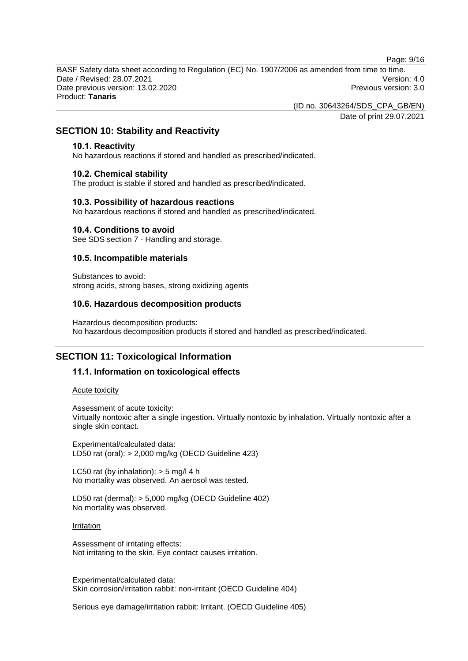Page: 9/16

BASF Safety data sheet according to Regulation (EC) No. 1907/2006 as amended from time to time. Date / Revised: 28.07.2021 Version: 4.0 Date previous version: 13.02.2020 **Previous version: 3.0** Previous version: 3.0 Product: **Tanaris**

(ID no. 30643264/SDS\_CPA\_GB/EN)

Date of print 29.07.2021

## **SECTION 10: Stability and Reactivity**

#### **10.1. Reactivity**

No hazardous reactions if stored and handled as prescribed/indicated.

#### **10.2. Chemical stability**

The product is stable if stored and handled as prescribed/indicated.

#### **10.3. Possibility of hazardous reactions**

No hazardous reactions if stored and handled as prescribed/indicated.

#### **10.4. Conditions to avoid**

See SDS section 7 - Handling and storage.

#### **10.5. Incompatible materials**

Substances to avoid: strong acids, strong bases, strong oxidizing agents

#### **10.6. Hazardous decomposition products**

Hazardous decomposition products: No hazardous decomposition products if stored and handled as prescribed/indicated.

## **SECTION 11: Toxicological Information**

#### **11.1. Information on toxicological effects**

Acute toxicity

Assessment of acute toxicity:

Virtually nontoxic after a single ingestion. Virtually nontoxic by inhalation. Virtually nontoxic after a single skin contact.

Experimental/calculated data: LD50 rat (oral): > 2,000 mg/kg (OECD Guideline 423)

LC50 rat (by inhalation):  $>$  5 mg/l 4 h No mortality was observed. An aerosol was tested.

LD50 rat (dermal): > 5,000 mg/kg (OECD Guideline 402) No mortality was observed.

**Irritation** 

Assessment of irritating effects: Not irritating to the skin. Eye contact causes irritation.

Experimental/calculated data: Skin corrosion/irritation rabbit: non-irritant (OECD Guideline 404)

Serious eye damage/irritation rabbit: Irritant. (OECD Guideline 405)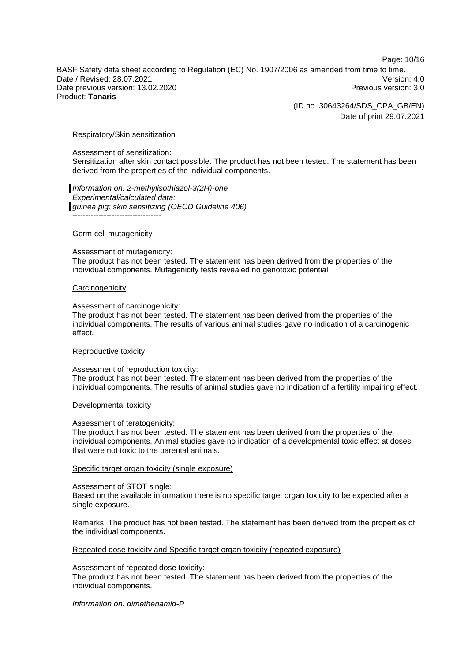Page: 10/16

BASF Safety data sheet according to Regulation (EC) No. 1907/2006 as amended from time to time. Date / Revised: 28.07.2021 Version: 4.0 Date previous version: 13.02.2020 **Previous version: 3.0** Previous version: 3.0 Product: **Tanaris**

(ID no. 30643264/SDS\_CPA\_GB/EN)

Date of print 29.07.2021

#### Respiratory/Skin sensitization

Assessment of sensitization:

Sensitization after skin contact possible. The product has not been tested. The statement has been derived from the properties of the individual components.

*Information on: 2-methylisothiazol-3(2H)-one Experimental/calculated data: guinea pig: skin sensitizing (OECD Guideline 406)* ----------------------------------

#### Germ cell mutagenicity

Assessment of mutagenicity:

The product has not been tested. The statement has been derived from the properties of the individual components. Mutagenicity tests revealed no genotoxic potential.

#### **Carcinogenicity**

Assessment of carcinogenicity:

The product has not been tested. The statement has been derived from the properties of the individual components. The results of various animal studies gave no indication of a carcinogenic effect.

#### Reproductive toxicity

Assessment of reproduction toxicity:

The product has not been tested. The statement has been derived from the properties of the individual components. The results of animal studies gave no indication of a fertility impairing effect.

#### Developmental toxicity

#### Assessment of teratogenicity:

The product has not been tested. The statement has been derived from the properties of the individual components. Animal studies gave no indication of a developmental toxic effect at doses that were not toxic to the parental animals.

#### Specific target organ toxicity (single exposure)

Assessment of STOT single:

Based on the available information there is no specific target organ toxicity to be expected after a single exposure.

Remarks: The product has not been tested. The statement has been derived from the properties of the individual components.

Repeated dose toxicity and Specific target organ toxicity (repeated exposure)

Assessment of repeated dose toxicity:

The product has not been tested. The statement has been derived from the properties of the individual components.

*Information on: dimethenamid-P*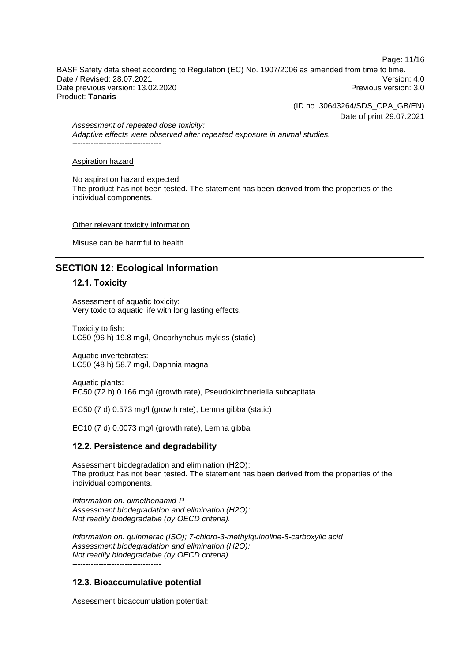Page: 11/16

BASF Safety data sheet according to Regulation (EC) No. 1907/2006 as amended from time to time. Date / Revised: 28.07.2021 Version: 4.0 Date previous version: 13.02.2020 **Previous version: 3.0** Previous version: 3.0 Product: **Tanaris**

(ID no. 30643264/SDS\_CPA\_GB/EN)

Date of print 29.07.2021

*Assessment of repeated dose toxicity: Adaptive effects were observed after repeated exposure in animal studies.* ----------------------------------

Aspiration hazard

No aspiration hazard expected.

The product has not been tested. The statement has been derived from the properties of the individual components.

#### Other relevant toxicity information

Misuse can be harmful to health.

## **SECTION 12: Ecological Information**

#### **12.1. Toxicity**

Assessment of aquatic toxicity: Very toxic to aquatic life with long lasting effects.

Toxicity to fish: LC50 (96 h) 19.8 mg/l, Oncorhynchus mykiss (static)

Aquatic invertebrates: LC50 (48 h) 58.7 mg/l, Daphnia magna

Aquatic plants: EC50 (72 h) 0.166 mg/l (growth rate), Pseudokirchneriella subcapitata

EC50 (7 d) 0.573 mg/l (growth rate), Lemna gibba (static)

EC10 (7 d) 0.0073 mg/l (growth rate), Lemna gibba

#### **12.2. Persistence and degradability**

Assessment biodegradation and elimination (H2O): The product has not been tested. The statement has been derived from the properties of the individual components.

*Information on: dimethenamid-P Assessment biodegradation and elimination (H2O): Not readily biodegradable (by OECD criteria).*

*Information on: quinmerac (ISO); 7-chloro-3-methylquinoline-8-carboxylic acid Assessment biodegradation and elimination (H2O): Not readily biodegradable (by OECD criteria).* ----------------------------------

#### **12.3. Bioaccumulative potential**

Assessment bioaccumulation potential: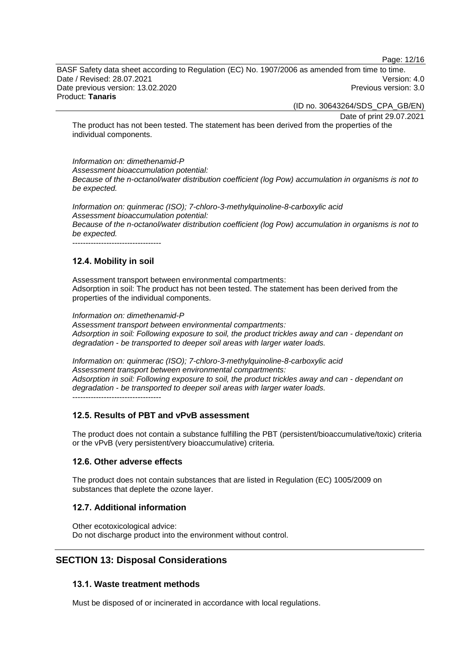Page: 12/16

BASF Safety data sheet according to Regulation (EC) No. 1907/2006 as amended from time to time. Date / Revised: 28.07.2021 Version: 4.0 Date previous version: 13.02.2020 **Previous version: 3.0** Previous version: 3.0 Product: **Tanaris**

(ID no. 30643264/SDS\_CPA\_GB/EN)

Date of print 29.07.2021

The product has not been tested. The statement has been derived from the properties of the individual components.

*Information on: dimethenamid-P Assessment bioaccumulation potential: Because of the n-octanol/water distribution coefficient (log Pow) accumulation in organisms is not to be expected.*

*Information on: quinmerac (ISO); 7-chloro-3-methylquinoline-8-carboxylic acid Assessment bioaccumulation potential: Because of the n-octanol/water distribution coefficient (log Pow) accumulation in organisms is not to be expected.* ----------------------------------

### **12.4. Mobility in soil**

Assessment transport between environmental compartments: Adsorption in soil: The product has not been tested. The statement has been derived from the properties of the individual components.

*Information on: dimethenamid-P*

*Assessment transport between environmental compartments: Adsorption in soil: Following exposure to soil, the product trickles away and can - dependant on degradation - be transported to deeper soil areas with larger water loads.*

*Information on: quinmerac (ISO); 7-chloro-3-methylquinoline-8-carboxylic acid Assessment transport between environmental compartments: Adsorption in soil: Following exposure to soil, the product trickles away and can - dependant on degradation - be transported to deeper soil areas with larger water loads.* ----------------------------------

#### **12.5. Results of PBT and vPvB assessment**

The product does not contain a substance fulfilling the PBT (persistent/bioaccumulative/toxic) criteria or the vPvB (very persistent/very bioaccumulative) criteria.

#### **12.6. Other adverse effects**

The product does not contain substances that are listed in Regulation (EC) 1005/2009 on substances that deplete the ozone layer.

#### **12.7. Additional information**

Other ecotoxicological advice: Do not discharge product into the environment without control.

## **SECTION 13: Disposal Considerations**

#### **13.1. Waste treatment methods**

Must be disposed of or incinerated in accordance with local regulations.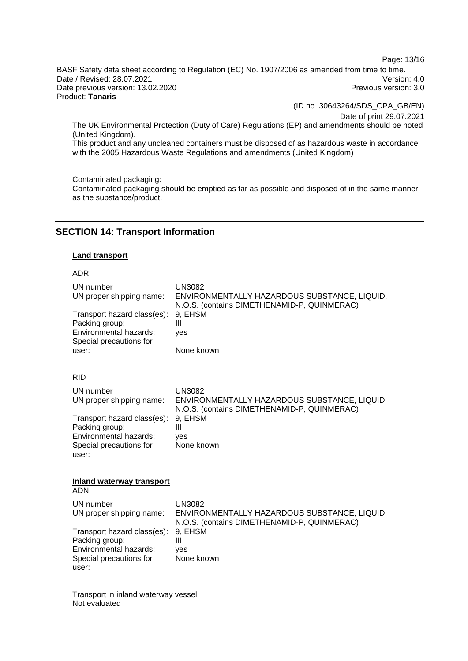Page: 13/16

BASF Safety data sheet according to Regulation (EC) No. 1907/2006 as amended from time to time. Date / Revised: 28.07.2021 Version: 4.0<br>Date previous version: 13.02.2020 Version: 3.0 Date previous version: 13.02.2020 Product: **Tanaris**

(ID no. 30643264/SDS\_CPA\_GB/EN)

Date of print 29.07.2021

The UK Environmental Protection (Duty of Care) Regulations (EP) and amendments should be noted (United Kingdom).

This product and any uncleaned containers must be disposed of as hazardous waste in accordance with the 2005 Hazardous Waste Regulations and amendments (United Kingdom)

#### Contaminated packaging:

Contaminated packaging should be emptied as far as possible and disposed of in the same manner as the substance/product.

## **SECTION 14: Transport Information**

#### **Land transport**

#### ADR

| UN number<br>UN proper shipping name:<br>Transport hazard class(es):<br>Packing group:<br>Environmental hazards:<br>Special precautions for<br>user: | <b>UN3082</b><br>ENVIRONMENTALLY HAZARDOUS SUBSTANCE, LIQUID,<br>N.O.S. (contains DIMETHENAMID-P, QUINMERAC)<br>9, EHSM<br>Ш<br>yes<br>None known |  |
|------------------------------------------------------------------------------------------------------------------------------------------------------|---------------------------------------------------------------------------------------------------------------------------------------------------|--|
| <b>RID</b>                                                                                                                                           |                                                                                                                                                   |  |
| UN number<br>UN proper shipping name:                                                                                                                | <b>UN3082</b><br>ENVIRONMENTALLY HAZARDOUS SUBSTANCE, LIQUID,<br>N.O.S. (contains DIMETHENAMID-P, QUINMERAC)                                      |  |
| Transport hazard class(es):<br>Packing group:<br>Environmental hazards:<br>Special precautions for<br>user:                                          | 9, EHSM<br>Ш<br>ves<br>None known                                                                                                                 |  |
| <b>Inland waterway transport</b><br><b>ADN</b>                                                                                                       |                                                                                                                                                   |  |
| UN number<br>UN proper shipping name:                                                                                                                | <b>UN3082</b><br>ENVIRONMENTALLY HAZARDOUS SUBSTANCE, LIQUID,                                                                                     |  |
| Transport hazard class(es):<br>Packing group:<br>Environmental hazards:<br>Special precautions for<br>user:                                          | N.O.S. (contains DIMETHENAMID-P, QUINMERAC)<br>9, EHSM<br>Ш<br>ves<br>None known                                                                  |  |

Transport in inland waterway vessel Not evaluated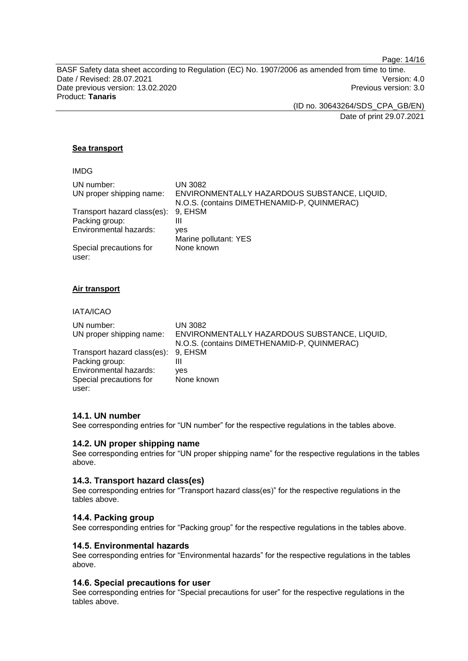Page: 14/16

BASF Safety data sheet according to Regulation (EC) No. 1907/2006 as amended from time to time. Date / Revised: 28.07.2021 Version: 4.0<br>Date previous version: 13.02.2020 Version: 3.0 Date previous version: 13.02.2020 Product: **Tanaris**

(ID no. 30643264/SDS\_CPA\_GB/EN)

Date of print 29.07.2021

#### **Sea transport**

| ENVIRONMENTALLY HAZARDOUS SUBSTANCE, LIQUID, |
|----------------------------------------------|
|                                              |
|                                              |
|                                              |
|                                              |
|                                              |
|                                              |
|                                              |

#### **Air transport**

#### IATA/ICAO

| UN number:<br>UN proper shipping name: | <b>UN 3082</b><br>ENVIRONMENTALLY HAZARDOUS SUBSTANCE, LIQUID,<br>N.O.S. (contains DIMETHENAMID-P, QUINMERAC) |
|----------------------------------------|---------------------------------------------------------------------------------------------------------------|
| Transport hazard class(es): 9, EHSM    |                                                                                                               |
| Packing group:                         | Ш                                                                                                             |
| Environmental hazards:                 | ves                                                                                                           |
| Special precautions for                | None known                                                                                                    |
| user:                                  |                                                                                                               |

#### **14.1. UN number**

See corresponding entries for "UN number" for the respective regulations in the tables above.

#### **14.2. UN proper shipping name**

See corresponding entries for "UN proper shipping name" for the respective regulations in the tables above.

#### **14.3. Transport hazard class(es)**

See corresponding entries for "Transport hazard class(es)" for the respective regulations in the tables above.

#### **14.4. Packing group**

See corresponding entries for "Packing group" for the respective regulations in the tables above.

#### **14.5. Environmental hazards**

See corresponding entries for "Environmental hazards" for the respective regulations in the tables above.

#### **14.6. Special precautions for user**

See corresponding entries for "Special precautions for user" for the respective regulations in the tables above.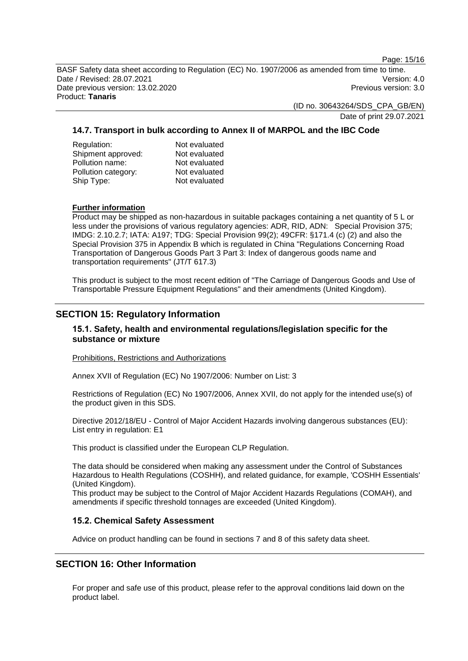Page: 15/16

BASF Safety data sheet according to Regulation (EC) No. 1907/2006 as amended from time to time. Date / Revised: 28.07.2021 Version: 4.0 Date previous version: 13.02.2020 **Previous version: 3.0** Previous version: 3.0 Product: **Tanaris**

(ID no. 30643264/SDS\_CPA\_GB/EN)

Date of print 29.07.2021

#### **14.7. Transport in bulk according to Annex II of MARPOL and the IBC Code**

| Regulation:         | Not evaluated |
|---------------------|---------------|
| Shipment approved:  | Not evaluated |
| Pollution name:     | Not evaluated |
| Pollution category: | Not evaluated |
| Ship Type:          | Not evaluated |
|                     |               |

#### **Further information**

Product may be shipped as non-hazardous in suitable packages containing a net quantity of 5 L or less under the provisions of various regulatory agencies: ADR, RID, ADN: Special Provision 375; IMDG: 2.10.2.7; IATA: A197; TDG: Special Provision 99(2); 49CFR: §171.4 (c) (2) and also the Special Provision 375 in Appendix B which is regulated in China "Regulations Concerning Road Transportation of Dangerous Goods Part 3 Part 3: Index of dangerous goods name and transportation requirements" (JT/T 617.3)

This product is subject to the most recent edition of "The Carriage of Dangerous Goods and Use of Transportable Pressure Equipment Regulations" and their amendments (United Kingdom).

## **SECTION 15: Regulatory Information**

#### **15.1. Safety, health and environmental regulations/legislation specific for the substance or mixture**

Prohibitions, Restrictions and Authorizations

Annex XVII of Regulation (EC) No 1907/2006: Number on List: 3

Restrictions of Regulation (EC) No 1907/2006, Annex XVII, do not apply for the intended use(s) of the product given in this SDS.

Directive 2012/18/EU - Control of Major Accident Hazards involving dangerous substances (EU): List entry in regulation: E1

This product is classified under the European CLP Regulation.

The data should be considered when making any assessment under the Control of Substances Hazardous to Health Regulations (COSHH), and related guidance, for example, 'COSHH Essentials' (United Kingdom).

This product may be subject to the Control of Major Accident Hazards Regulations (COMAH), and amendments if specific threshold tonnages are exceeded (United Kingdom).

#### **15.2. Chemical Safety Assessment**

Advice on product handling can be found in sections 7 and 8 of this safety data sheet.

## **SECTION 16: Other Information**

For proper and safe use of this product, please refer to the approval conditions laid down on the product label.